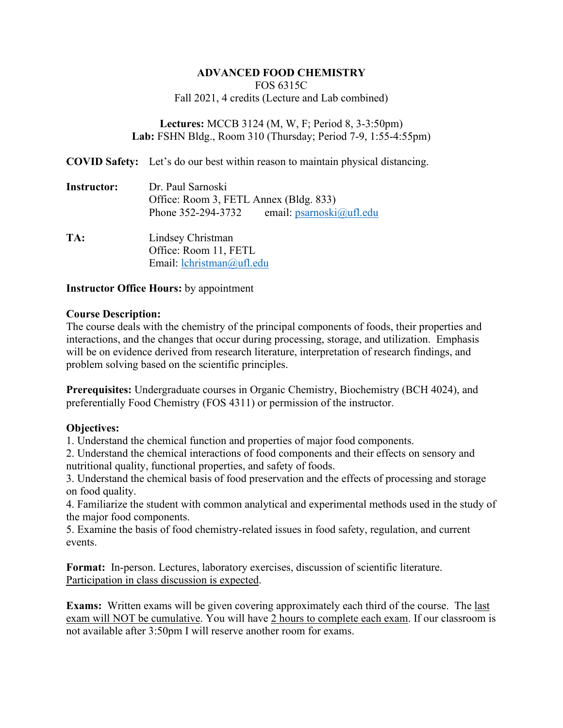## **ADVANCED FOOD CHEMISTRY**

FOS 6315C Fall 2021, 4 credits (Lecture and Lab combined)

**Lectures:** MCCB 3124 (M, W, F; Period 8, 3-3:50pm) **Lab:** FSHN Bldg., Room 310 (Thursday; Period 7-9, 1:55-4:55pm)

**COVID Safety:** Let's do our best within reason to maintain physical distancing.

**Instructor:** Dr. Paul Sarnoski Office: Room 3, FETL Annex (Bldg. 833) Phone 352-294-3732 email: [psarnoski@ufl.edu](mailto:psarnoski@ufl.edu)

**TA:** Lindsey Christman Office: Room 11, FETL Email: [lchristman@ufl.edu](mailto:lchristman@ufl.edu)

## **Instructor Office Hours:** by appointment

## **Course Description:**

The course deals with the chemistry of the principal components of foods, their properties and interactions, and the changes that occur during processing, storage, and utilization. Emphasis will be on evidence derived from research literature, interpretation of research findings, and problem solving based on the scientific principles.

**Prerequisites:** Undergraduate courses in Organic Chemistry, Biochemistry (BCH 4024), and preferentially Food Chemistry (FOS 4311) or permission of the instructor.

# **Objectives:**

1. Understand the chemical function and properties of major food components.

2. Understand the chemical interactions of food components and their effects on sensory and nutritional quality, functional properties, and safety of foods.

3. Understand the chemical basis of food preservation and the effects of processing and storage on food quality.

4. Familiarize the student with common analytical and experimental methods used in the study of the major food components.

5. Examine the basis of food chemistry-related issues in food safety, regulation, and current events.

**Format:** In-person. Lectures, laboratory exercises, discussion of scientific literature. Participation in class discussion is expected.

**Exams:** Written exams will be given covering approximately each third of the course. The last exam will NOT be cumulative. You will have 2 hours to complete each exam. If our classroom is not available after 3:50pm I will reserve another room for exams.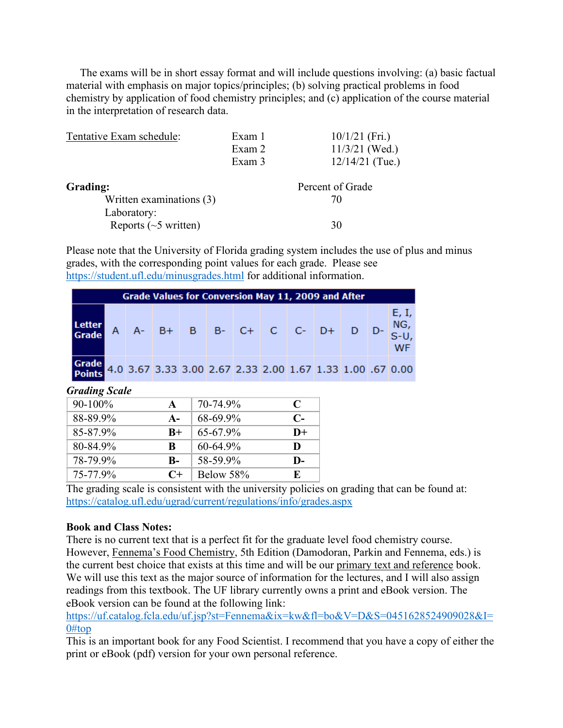The exams will be in short essay format and will include questions involving: (a) basic factual material with emphasis on major topics/principles; (b) solving practical problems in food chemistry by application of food chemistry principles; and (c) application of the course material in the interpretation of research data.

| Tentative Exam schedule:   | Exam 1 | $10/1/21$ (Fri.)  |
|----------------------------|--------|-------------------|
|                            | Exam 2 | $11/3/21$ (Wed.)  |
|                            | Exam 3 | $12/14/21$ (Tue.) |
| Grading:                   |        | Percent of Grade  |
| Written examinations (3)   |        | 70                |
| Laboratory:                |        |                   |
| Reports $(\sim 5$ written) |        | 30                |

Please note that the University of Florida grading system includes the use of plus and minus grades, with the corresponding point values for each grade. Please see <https://student.ufl.edu/minusgrades.html> for additional information.

| <b>Grade Values for Conversion May 11, 2009 and After</b>       |  |  |                                                   |  |  |  |  |  |  |             |
|-----------------------------------------------------------------|--|--|---------------------------------------------------|--|--|--|--|--|--|-------------|
| Letter<br>Grade                                                 |  |  | A $A - B + B$ B $B - C + C$ C $D + D$ $D - S - U$ |  |  |  |  |  |  | E, I,<br>WF |
| Grade 4.0 3.67 3.33 3.00 2.67 2.33 2.00 1.67 1.33 1.00 .67 0.00 |  |  |                                                   |  |  |  |  |  |  |             |

*Grading Scale*

| $90-100\%$ | A     | 70-74.9%      | C            |
|------------|-------|---------------|--------------|
| 88-89.9%   | $A -$ | 68-69.9%      | $\mathbb{C}$ |
| 85-87.9%   | $B+$  | $65 - 67.9\%$ | $D+$         |
| 80-84.9%   | R     | $60 - 64.9\%$ | D            |
| 78-79.9%   | B-    | 58-59.9%      | $\mathbf{D}$ |
| 75-77.9%   | $C+$  | Below 58%     | E.           |

The grading scale is consistent with the university policies on grading that can be found at: <https://catalog.ufl.edu/ugrad/current/regulations/info/grades.aspx>

## **Book and Class Notes:**

There is no current text that is a perfect fit for the graduate level food chemistry course. However, Fennema's Food Chemistry, 5th Edition (Damodoran, Parkin and Fennema, eds.) is the current best choice that exists at this time and will be our primary text and reference book. We will use this text as the major source of information for the lectures, and I will also assign readings from this textbook. The UF library currently owns a print and eBook version. The eBook version can be found at the following link:

[https://uf.catalog.fcla.edu/uf.jsp?st=Fennema&ix=kw&fl=bo&V=D&S=0451628524909028&I=](https://uf.catalog.fcla.edu/uf.jsp?st=Fennema&ix=kw&fl=bo&V=D&S=0451628524909028&I=0#top)  $0#$ top

This is an important book for any Food Scientist. I recommend that you have a copy of either the print or eBook (pdf) version for your own personal reference.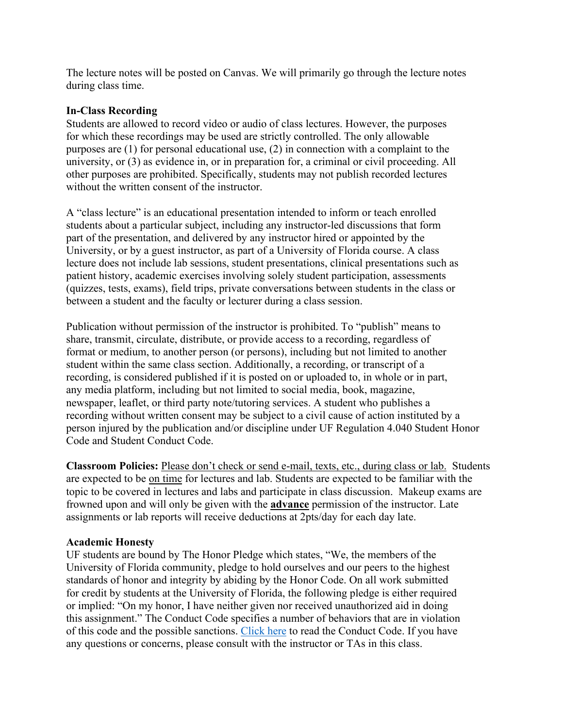The lecture notes will be posted on Canvas. We will primarily go through the lecture notes during class time.

## **In-Class Recording**

Students are allowed to record video or audio of class lectures. However, the purposes for which these recordings may be used are strictly controlled. The only allowable purposes are (1) for personal educational use, (2) in connection with a complaint to the university, or (3) as evidence in, or in preparation for, a criminal or civil proceeding. All other purposes are prohibited. Specifically, students may not publish recorded lectures without the written consent of the instructor.

A "class lecture" is an educational presentation intended to inform or teach enrolled students about a particular subject, including any instructor-led discussions that form part of the presentation, and delivered by any instructor hired or appointed by the University, or by a guest instructor, as part of a University of Florida course. A class lecture does not include lab sessions, student presentations, clinical presentations such as patient history, academic exercises involving solely student participation, assessments (quizzes, tests, exams), field trips, private conversations between students in the class or between a student and the faculty or lecturer during a class session.

Publication without permission of the instructor is prohibited. To "publish" means to share, transmit, circulate, distribute, or provide access to a recording, regardless of format or medium, to another person (or persons), including but not limited to another student within the same class section. Additionally, a recording, or transcript of a recording, is considered published if it is posted on or uploaded to, in whole or in part, any media platform, including but not limited to social media, book, magazine, newspaper, leaflet, or third party note/tutoring services. A student who publishes a recording without written consent may be subject to a civil cause of action instituted by a person injured by the publication and/or discipline under UF Regulation 4.040 Student Honor Code and Student Conduct Code.

**Classroom Policies:** Please don't check or send e-mail, texts, etc., during class or lab. Students are expected to be on time for lectures and lab. Students are expected to be familiar with the topic to be covered in lectures and labs and participate in class discussion. Makeup exams are frowned upon and will only be given with the **advance** permission of the instructor. Late assignments or lab reports will receive deductions at 2pts/day for each day late.

## **Academic Honesty**

UF students are bound by The Honor Pledge which states, "We, the members of the University of Florida community, pledge to hold ourselves and our peers to the highest standards of honor and integrity by abiding by the Honor Code. On all work submitted for credit by students at the University of Florida, the following pledge is either required or implied: "On my honor, I have neither given nor received unauthorized aid in doing this assignment." The Conduct Code specifies a number of behaviors that are in violation of this code and the possible sanctions. [Click here](https://sccr.dso.ufl.edu/process/student-conduct-code/) to read the Conduct Code. If you have any questions or concerns, please consult with the instructor or TAs in this class.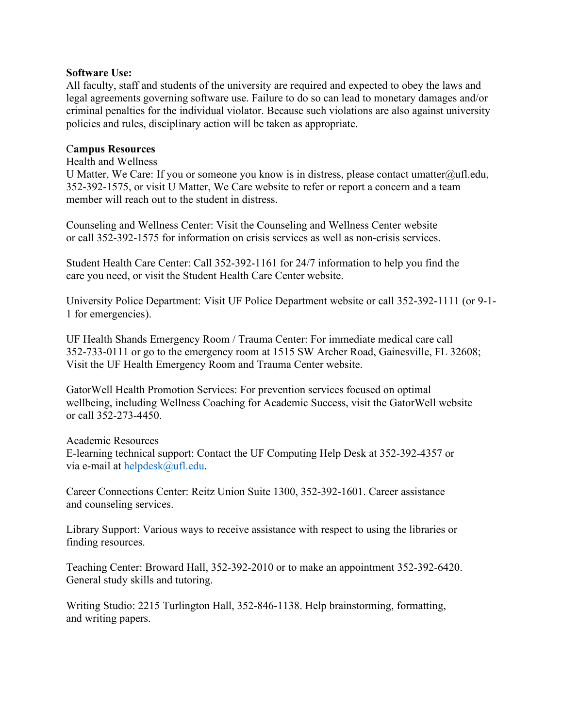#### **Software Use:**

All faculty, staff and students of the university are required and expected to obey the laws and legal agreements governing software use. Failure to do so can lead to monetary damages and/or criminal penalties for the individual violator. Because such violations are also against university policies and rules, disciplinary action will be taken as appropriate.

## C**ampus Resources**

#### Health and Wellness

U Matter, We Care: If you or someone you know is in distress, please contact umatter $\omega$ ufl.edu, 352-392-1575, or visit U Matter, We Care website to refer or report a concern and a team member will reach out to the student in distress.

Counseling and Wellness Center: Visit the Counseling and Wellness Center website or call 352-392-1575 for information on crisis services as well as non-crisis services.

Student Health Care Center: Call 352-392-1161 for 24/7 information to help you find the care you need, or visit the Student Health Care Center website.

University Police Department: Visit UF Police Department website or call 352-392-1111 (or 9-1- 1 for emergencies).

UF Health Shands Emergency Room / Trauma Center: For immediate medical care call 352-733-0111 or go to the emergency room at 1515 SW Archer Road, Gainesville, FL 32608; Visit the UF Health Emergency Room and Trauma Center website.

GatorWell Health Promotion Services: For prevention services focused on optimal wellbeing, including Wellness Coaching for Academic Success, visit the GatorWell website or call 352-273-4450.

Academic Resources E-learning technical support: Contact the UF Computing Help Desk at 352-392-4357 or via e-mail at [helpdesk@ufl.edu.](mailto:helpdesk@ufl.edu)

Career Connections Center: Reitz Union Suite 1300, 352-392-1601. Career assistance and counseling services.

Library Support: Various ways to receive assistance with respect to using the libraries or finding resources.

Teaching Center: Broward Hall, 352-392-2010 or to make an appointment 352-392-6420. General study skills and tutoring.

Writing Studio: 2215 Turlington Hall, 352-846-1138. Help brainstorming, formatting, and writing papers.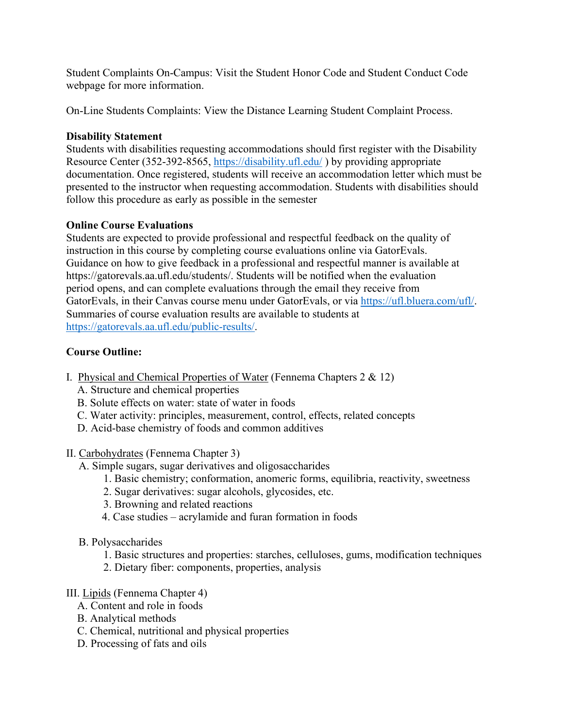Student Complaints On-Campus: Visit the Student Honor Code and Student Conduct Code webpage for more information.

On-Line Students Complaints: View the Distance Learning Student Complaint Process.

# **Disability Statement**

Students with disabilities requesting accommodations should first register with the Disability Resource Center (352-392-8565, <https://disability.ufl.edu/> ) by providing appropriate documentation. Once registered, students will receive an accommodation letter which must be presented to the instructor when requesting accommodation. Students with disabilities should follow this procedure as early as possible in the semester

# **Online Course Evaluations**

Students are expected to provide professional and respectful feedback on the quality of instruction in this course by completing course evaluations online via GatorEvals. Guidance on how to give feedback in a professional and respectful manner is available at https://gatorevals.aa.ufl.edu/students/. Students will be notified when the evaluation period opens, and can complete evaluations through the email they receive from GatorEvals, in their Canvas course menu under GatorEvals, or via [https://ufl.bluera.com/ufl/.](https://ufl.bluera.com/ufl/) Summaries of course evaluation results are available to students at [https://gatorevals.aa.ufl.edu/public-results/.](https://gatorevals.aa.ufl.edu/public-results/)

# **Course Outline:**

- I. Physical and Chemical Properties of Water (Fennema Chapters 2 & 12)
	- A. Structure and chemical properties
	- B. Solute effects on water: state of water in foods
	- C. Water activity: principles, measurement, control, effects, related concepts
	- D. Acid-base chemistry of foods and common additives
- II. Carbohydrates (Fennema Chapter 3)
	- A. Simple sugars, sugar derivatives and oligosaccharides
		- 1. Basic chemistry; conformation, anomeric forms, equilibria, reactivity, sweetness
		- 2. Sugar derivatives: sugar alcohols, glycosides, etc.
		- 3. Browning and related reactions
		- 4. Case studies acrylamide and furan formation in foods
	- B. Polysaccharides
		- 1. Basic structures and properties: starches, celluloses, gums, modification techniques
		- 2. Dietary fiber: components, properties, analysis

# III. Lipids (Fennema Chapter 4)

- A. Content and role in foods
- B. Analytical methods
- C. Chemical, nutritional and physical properties
- D. Processing of fats and oils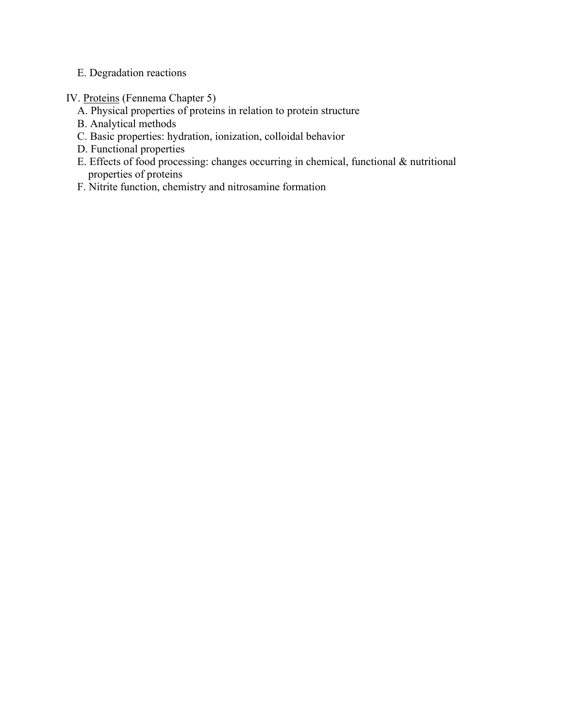- E. Degradation reactions
- IV. Proteins (Fennema Chapter 5)
	- A. Physical properties of proteins in relation to protein structure
	- B. Analytical methods
	- C. Basic properties: hydration, ionization, colloidal behavior
	- D. Functional properties
	- E. Effects of food processing: changes occurring in chemical, functional & nutritional properties of proteins
	- F. Nitrite function, chemistry and nitrosamine formation